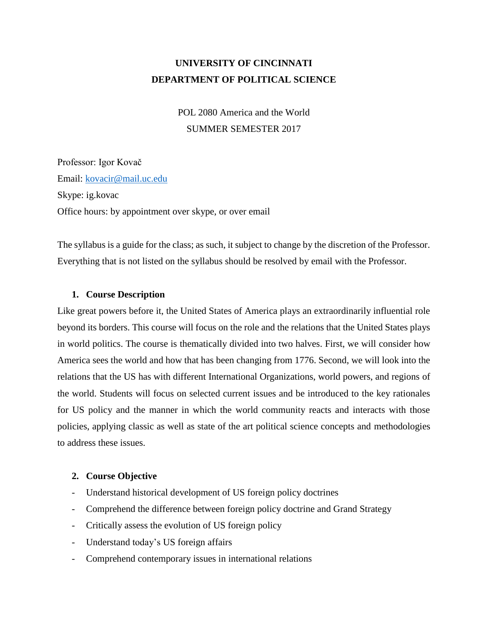# **UNIVERSITY OF CINCINNATI DEPARTMENT OF POLITICAL SCIENCE**

POL 2080 America and the World SUMMER SEMESTER 2017

Professor: Igor Kovač Email: [kovacir@mail.uc.edu](mailto:kovacir@mail.uc.edu) Skype: ig.kovac Office hours: by appointment over skype, or over email

The syllabus is a guide for the class; as such, it subject to change by the discretion of the Professor. Everything that is not listed on the syllabus should be resolved by email with the Professor.

# **1. Course Description**

Like great powers before it, the United States of America plays an extraordinarily influential role beyond its borders. This course will focus on the role and the relations that the United States plays in world politics. The course is thematically divided into two halves. First, we will consider how America sees the world and how that has been changing from 1776. Second, we will look into the relations that the US has with different International Organizations, world powers, and regions of the world. Students will focus on selected current issues and be introduced to the key rationales for US policy and the manner in which the world community reacts and interacts with those policies, applying classic as well as state of the art political science concepts and methodologies to address these issues.

## **2. Course Objective**

- Understand historical development of US foreign policy doctrines
- Comprehend the difference between foreign policy doctrine and Grand Strategy
- Critically assess the evolution of US foreign policy
- Understand today's US foreign affairs
- Comprehend contemporary issues in international relations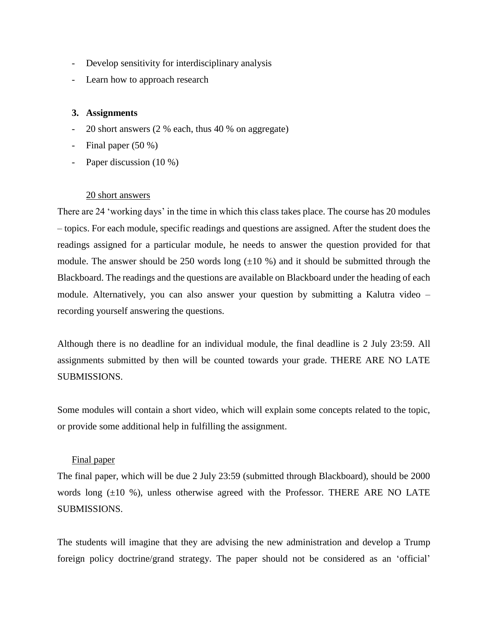- Develop sensitivity for interdisciplinary analysis
- Learn how to approach research

## **3. Assignments**

- 20 short answers (2 % each, thus 40 % on aggregate)
- Final paper (50 %)
- Paper discussion (10 %)

## 20 short answers

There are 24 'working days' in the time in which this class takes place. The course has 20 modules – topics. For each module, specific readings and questions are assigned. After the student does the readings assigned for a particular module, he needs to answer the question provided for that module. The answer should be 250 words long  $(\pm 10\%)$  and it should be submitted through the Blackboard. The readings and the questions are available on Blackboard under the heading of each module. Alternatively, you can also answer your question by submitting a Kalutra video – recording yourself answering the questions.

Although there is no deadline for an individual module, the final deadline is 2 July 23:59. All assignments submitted by then will be counted towards your grade. THERE ARE NO LATE SUBMISSIONS.

Some modules will contain a short video, which will explain some concepts related to the topic, or provide some additional help in fulfilling the assignment.

#### Final paper

The final paper, which will be due 2 July 23:59 (submitted through Blackboard), should be 2000 words long  $(\pm 10\%)$ , unless otherwise agreed with the Professor. THERE ARE NO LATE SUBMISSIONS.

The students will imagine that they are advising the new administration and develop a Trump foreign policy doctrine/grand strategy. The paper should not be considered as an 'official'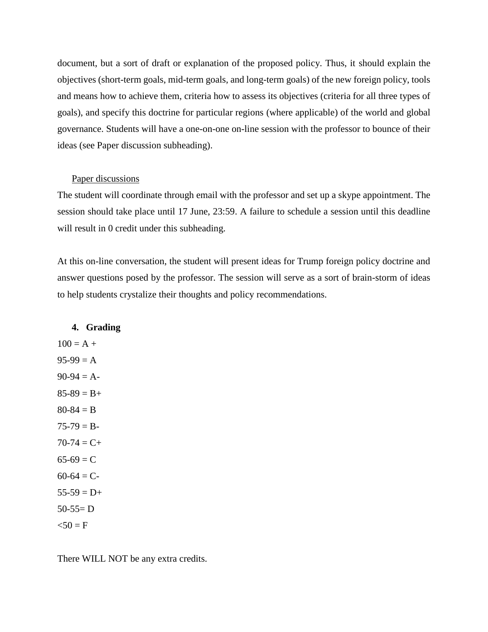document, but a sort of draft or explanation of the proposed policy. Thus, it should explain the objectives (short-term goals, mid-term goals, and long-term goals) of the new foreign policy, tools and means how to achieve them, criteria how to assess its objectives (criteria for all three types of goals), and specify this doctrine for particular regions (where applicable) of the world and global governance. Students will have a one-on-one on-line session with the professor to bounce of their ideas (see Paper discussion subheading).

#### Paper discussions

The student will coordinate through email with the professor and set up a skype appointment. The session should take place until 17 June, 23:59. A failure to schedule a session until this deadline will result in 0 credit under this subheading.

At this on-line conversation, the student will present ideas for Trump foreign policy doctrine and answer questions posed by the professor. The session will serve as a sort of brain-storm of ideas to help students crystalize their thoughts and policy recommendations.

#### **4. Grading**

 $100 = A +$  $95-99 = A$  $90-94 = A$  $85-89 = B +$  $80 - 84 = B$  $75-79 = B 70-74 = C +$  $65-69 = C$  $60-64 = C$  $55-59 = D+$  $50-55=D$  $50 = F$ 

There WILL NOT be any extra credits.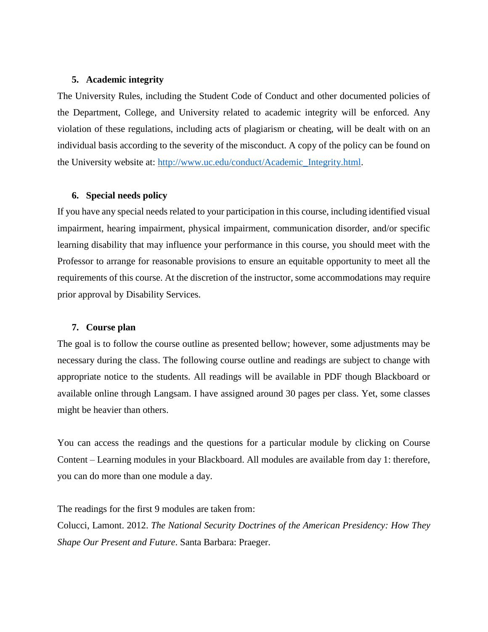#### **5. Academic integrity**

The University Rules, including the Student Code of Conduct and other documented policies of the Department, College, and University related to academic integrity will be enforced. Any violation of these regulations, including acts of plagiarism or cheating, will be dealt with on an individual basis according to the severity of the misconduct. A copy of the policy can be found on the University website at: [http://www.uc.edu/conduct/Academic\\_Integrity.html.](http://www.uc.edu/conduct/Academic_Integrity.html)

### **6. Special needs policy**

If you have any special needs related to your participation in this course, including identified visual impairment, hearing impairment, physical impairment, communication disorder, and/or specific learning disability that may influence your performance in this course, you should meet with the Professor to arrange for reasonable provisions to ensure an equitable opportunity to meet all the requirements of this course. At the discretion of the instructor, some accommodations may require prior approval by Disability Services.

#### **7. Course plan**

The goal is to follow the course outline as presented bellow; however, some adjustments may be necessary during the class. The following course outline and readings are subject to change with appropriate notice to the students. All readings will be available in PDF though Blackboard or available online through Langsam. I have assigned around 30 pages per class. Yet, some classes might be heavier than others.

You can access the readings and the questions for a particular module by clicking on Course Content – Learning modules in your Blackboard. All modules are available from day 1: therefore, you can do more than one module a day.

The readings for the first 9 modules are taken from:

Colucci, Lamont. 2012. *The National Security Doctrines of the American Presidency: How They Shape Our Present and Future*. Santa Barbara: Praeger.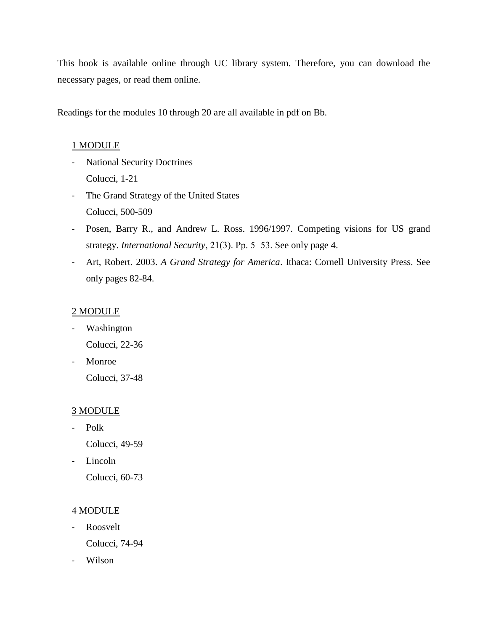This book is available online through UC library system. Therefore, you can download the necessary pages, or read them online.

Readings for the modules 10 through 20 are all available in pdf on Bb.

# 1 MODULE

- National Security Doctrines Colucci, 1-21
- The Grand Strategy of the United States Colucci, 500-509
- Posen, Barry R., and Andrew L. Ross. 1996/1997. Competing visions for US grand strategy. *International Security*, 21(3). Pp. 5−53. See only page 4.
- Art, Robert. 2003. *A Grand Strategy for America*. Ithaca: Cornell University Press. See only pages 82-84.

# 2 MODULE

- Washington Colucci, 22-36
- Monroe Colucci, 37-48

# 3 MODULE

- Polk Colucci, 49-59
	-
- Lincoln

Colucci, 60-73

## 4 MODULE

- Roosvelt

Colucci, 74-94

- Wilson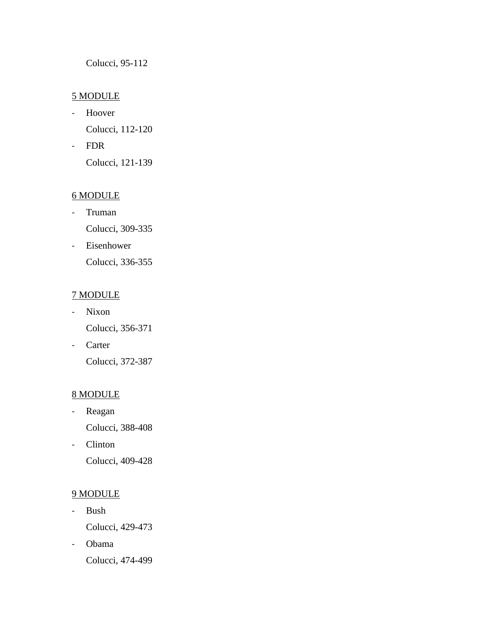Colucci, 95-112

# 5 MODULE

- Hoover Colucci, 112-120
- FDR

Colucci, 121-139

# 6 MODULE

- Truman Colucci, 309-335
- Eisenhower Colucci, 336-355

# 7 MODULE

- Nixon Colucci, 356-371
- Carter Colucci, 372-387

# 8 MODULE

- Reagan Colucci, 388-408
- Clinton Colucci, 409-428

# 9 MODULE

- Bush Colucci, 429-473
- Obama Colucci, 474-499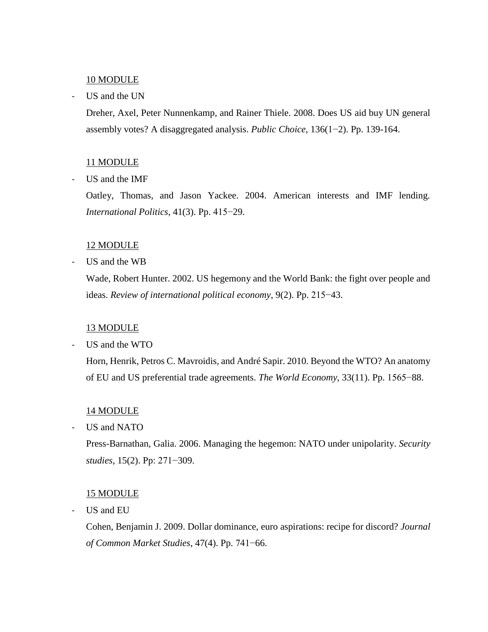### 10 MODULE

### - US and the UN

Dreher, Axel, Peter Nunnenkamp, and Rainer Thiele. 2008. Does US aid buy UN general assembly votes? A disaggregated analysis. *Public Choice*, 136(1−2). Pp. 139-164.

### 11 MODULE

- US and the IMF

Oatley, Thomas, and Jason Yackee. 2004. American interests and IMF lending. *International Politics*, 41(3). Pp. 415−29.

### 12 MODULE

- US and the WB

Wade, Robert Hunter. 2002. US hegemony and the World Bank: the fight over people and ideas. *Review of international political economy*, 9(2). Pp. 215−43.

#### 13 MODULE

US and the WTO

Horn, Henrik, Petros C. Mavroidis, and André Sapir. 2010. Beyond the WTO? An anatomy of EU and US preferential trade agreements. *The World Economy*, 33(11). Pp. 1565−88.

#### 14 MODULE

- US and NATO

Press-Barnathan, Galia. 2006. Managing the hegemon: NATO under unipolarity. *Security studies*, 15(2). Pp: 271−309.

### 15 MODULE

- US and EU

Cohen, Benjamin J. 2009. Dollar dominance, euro aspirations: recipe for discord? *Journal of Common Market Studies*, 47(4). Pp. 741−66.